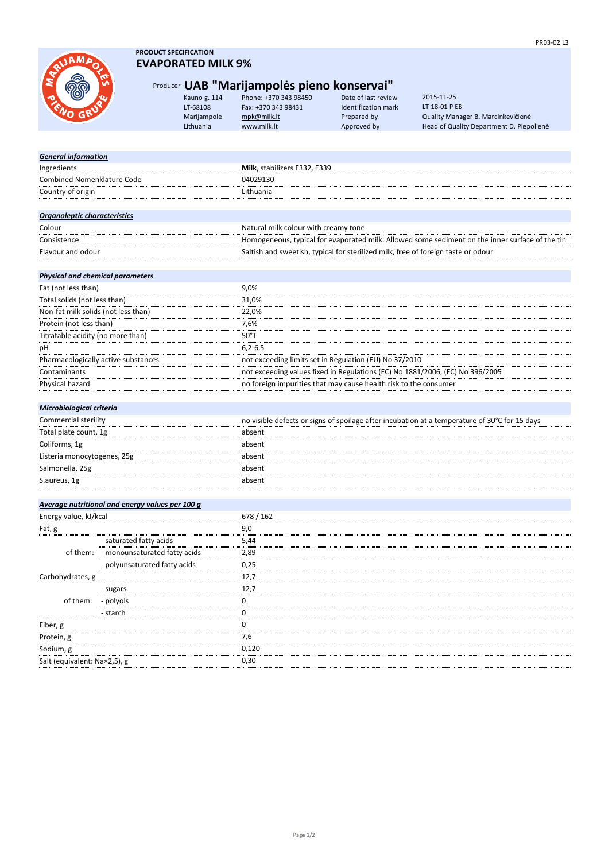

- polyols

of them:

## **PRODUCT SPECIFICATION EVAPORATED MILK 9%**

# Producer **UAB "Marijampolės pieno konservai"**

| Kauno g. 114 | Phone: +370 343 98450 | Date o  |
|--------------|-----------------------|---------|
| T-68108      | Fax: +370 343 98431   | Identif |
| Marijampolė  | mpk@milk.lt           | Prepar  |
| Lithuania    | www.milk.lt           | Appro   |

of last review LT-68108 Fax: +370 343 98431 Identification mark

Marijampolė [mpk@milk.lt](mailto:mpk@milk.lt) Prepared by Quality Manager B. Marcinkevičienė Head of Quality Department D. Piepolienė 2015-11-25 LT 18-01 P EB

| <b>General information</b>              |                                                 |                                                                                                 |
|-----------------------------------------|-------------------------------------------------|-------------------------------------------------------------------------------------------------|
| Ingredients                             |                                                 | Milk, stabilizers E332, E339                                                                    |
| <b>Combined Nomenklature Code</b>       |                                                 | 04029130                                                                                        |
| Country of origin                       |                                                 | Lithuania                                                                                       |
|                                         |                                                 |                                                                                                 |
| Organoleptic characteristics            |                                                 |                                                                                                 |
| Colour                                  |                                                 | Natural milk colour with creamy tone                                                            |
| Consistence                             |                                                 | Homogeneous, typical for evaporated milk. Allowed some sediment on the inner surface of the tin |
| Flavour and odour                       |                                                 | Saltish and sweetish, typical for sterilized milk, free of foreign taste or odour               |
|                                         |                                                 |                                                                                                 |
| <b>Physical and chemical parameters</b> |                                                 |                                                                                                 |
| Fat (not less than)                     |                                                 | 9,0%                                                                                            |
| Total solids (not less than)            |                                                 | 31,0%                                                                                           |
| Non-fat milk solids (not less than)     |                                                 | 22,0%                                                                                           |
| Protein (not less than)                 |                                                 | 7,6%                                                                                            |
| Titratable acidity (no more than)       |                                                 | $50^{\circ}$ T                                                                                  |
| pH                                      |                                                 | $6,2-6,5$                                                                                       |
|                                         | Pharmacologically active substances             | not exceeding limits set in Regulation (EU) No 37/2010                                          |
| Contaminants                            |                                                 | not exceeding values fixed in Regulations (EC) No 1881/2006, (EC) No 396/2005                   |
| Physical hazard                         |                                                 | no foreign impurities that may cause health risk to the consumer                                |
|                                         |                                                 |                                                                                                 |
| Microbiological criteria                |                                                 |                                                                                                 |
| Commercial sterility                    |                                                 | no visible defects or signs of spoilage after incubation at a temperature of 30°C for 15 days   |
| Total plate count, 1g                   |                                                 | absent                                                                                          |
| Coliforms, 1g                           |                                                 | absent                                                                                          |
| Listeria monocytogenes, 25g             |                                                 | absent                                                                                          |
| Salmonella, 25g                         |                                                 | absent                                                                                          |
| S.aureus, 1g                            |                                                 | absent                                                                                          |
|                                         |                                                 |                                                                                                 |
|                                         | Average nutritional and energy values per 100 g |                                                                                                 |
| Energy value, kJ/kcal                   |                                                 | 678 / 162                                                                                       |
| Fat, g                                  |                                                 | 9,0                                                                                             |
|                                         | - saturated fatty acids                         | 5,44                                                                                            |
|                                         | of them: - monounsaturated fatty acids          | 2,89                                                                                            |
|                                         | - polyunsaturated fatty acids                   | 0,25                                                                                            |
| Carbohydrates, g                        |                                                 | 12,7                                                                                            |
|                                         | - sugars                                        | 12,7                                                                                            |
|                                         |                                                 |                                                                                                 |

| - starch                         |       |
|----------------------------------|-------|
| Fiber, g                         |       |
| Protein, g<br>.                  | 7.6   |
| Sodium, g                        | 0,120 |
| <br>Salt (equivalent: Na×2,5), g | 0.30  |
|                                  |       |
|                                  |       |
|                                  |       |
|                                  |       |

0 1